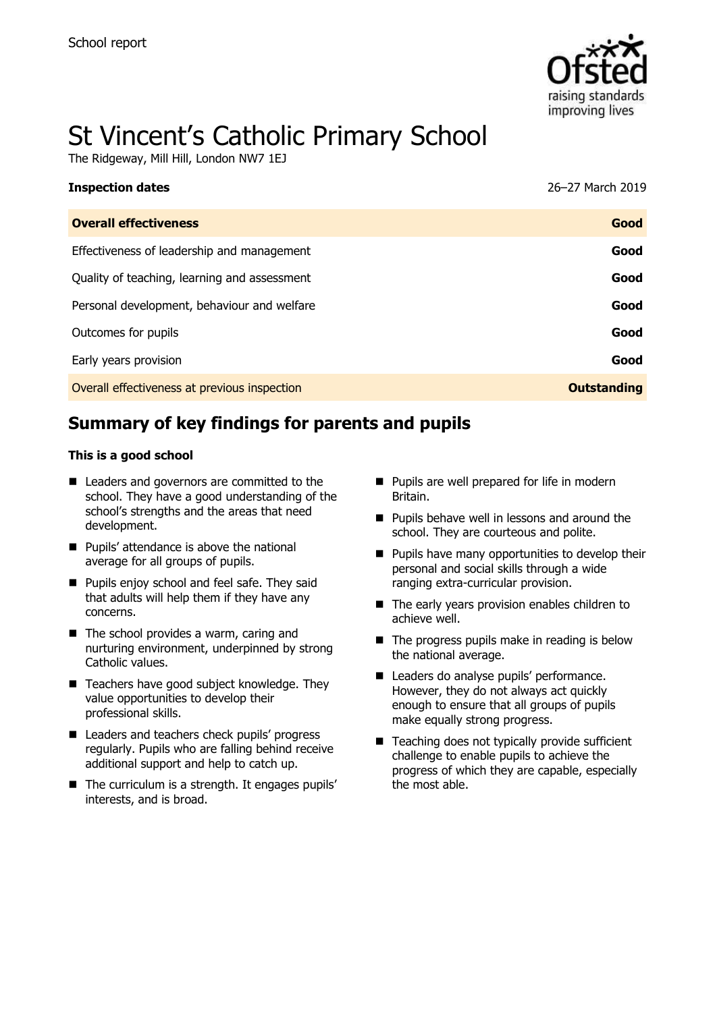

# St Vincent's Catholic Primary School

The Ridgeway, Mill Hill, London NW7 1EJ

| <b>Inspection dates</b>                      | 26–27 March 2019   |
|----------------------------------------------|--------------------|
| <b>Overall effectiveness</b>                 | Good               |
| Effectiveness of leadership and management   | Good               |
| Quality of teaching, learning and assessment | Good               |
| Personal development, behaviour and welfare  | Good               |
| Outcomes for pupils                          | Good               |
| Early years provision                        | Good               |
| Overall effectiveness at previous inspection | <b>Outstanding</b> |
|                                              |                    |

# **Summary of key findings for parents and pupils**

#### **This is a good school**

- Leaders and governors are committed to the school. They have a good understanding of the school's strengths and the areas that need development.
- **Pupils' attendance is above the national** average for all groups of pupils.
- **Pupils enjoy school and feel safe. They said** that adults will help them if they have any concerns.
- The school provides a warm, caring and nurturing environment, underpinned by strong Catholic values.
- Teachers have good subject knowledge. They value opportunities to develop their professional skills.
- Leaders and teachers check pupils' progress regularly. Pupils who are falling behind receive additional support and help to catch up.
- The curriculum is a strength. It engages pupils' interests, and is broad.
- **Pupils are well prepared for life in modern** Britain.
- **Pupils behave well in lessons and around the** school. They are courteous and polite.
- **Pupils have many opportunities to develop their** personal and social skills through a wide ranging extra-curricular provision.
- The early years provision enables children to achieve well.
- $\blacksquare$  The progress pupils make in reading is below the national average.
- Leaders do analyse pupils' performance. However, they do not always act quickly enough to ensure that all groups of pupils make equally strong progress.
- Teaching does not typically provide sufficient challenge to enable pupils to achieve the progress of which they are capable, especially the most able.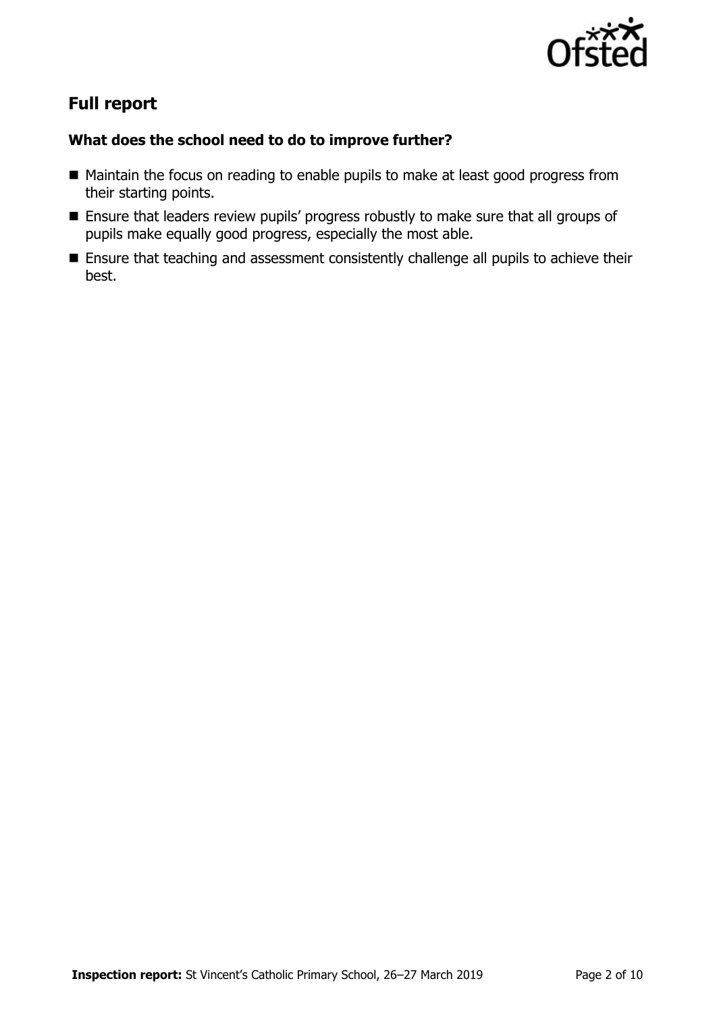

# **Full report**

### **What does the school need to do to improve further?**

- Maintain the focus on reading to enable pupils to make at least good progress from their starting points.
- Ensure that leaders review pupils' progress robustly to make sure that all groups of pupils make equally good progress, especially the most able.
- **Ensure that teaching and assessment consistently challenge all pupils to achieve their** best.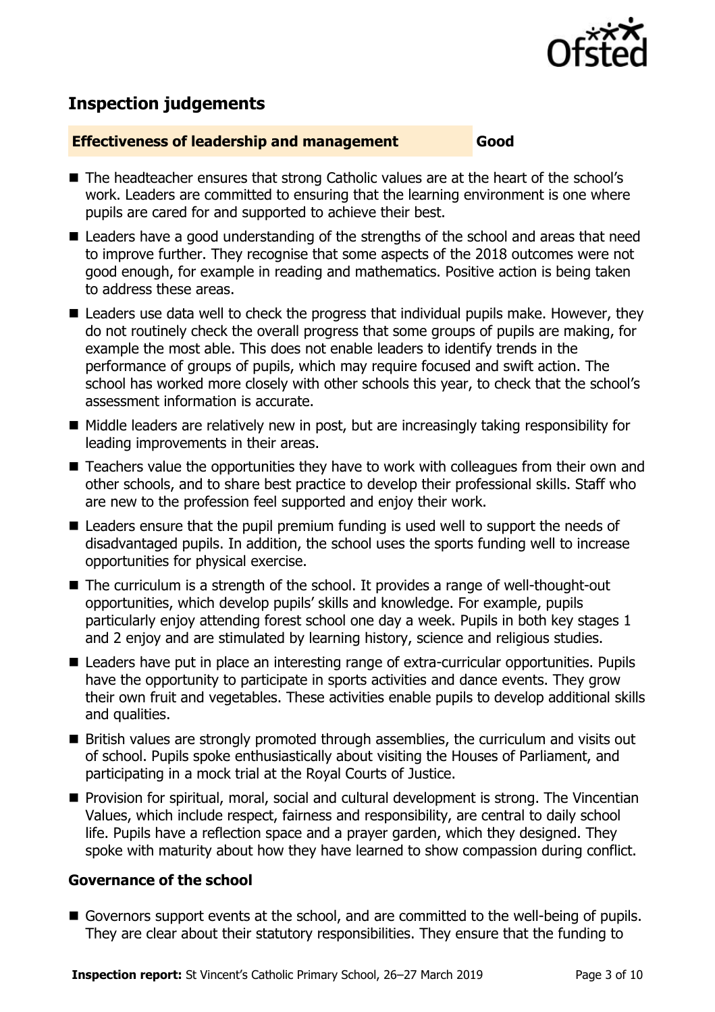

# **Inspection judgements**

#### **Effectiveness of leadership and management Good**

- The headteacher ensures that strong Catholic values are at the heart of the school's work. Leaders are committed to ensuring that the learning environment is one where pupils are cared for and supported to achieve their best.
- Leaders have a good understanding of the strengths of the school and areas that need to improve further. They recognise that some aspects of the 2018 outcomes were not good enough, for example in reading and mathematics. Positive action is being taken to address these areas.
- Leaders use data well to check the progress that individual pupils make. However, they do not routinely check the overall progress that some groups of pupils are making, for example the most able. This does not enable leaders to identify trends in the performance of groups of pupils, which may require focused and swift action. The school has worked more closely with other schools this year, to check that the school's assessment information is accurate.
- Middle leaders are relatively new in post, but are increasingly taking responsibility for leading improvements in their areas.
- Teachers value the opportunities they have to work with colleagues from their own and other schools, and to share best practice to develop their professional skills. Staff who are new to the profession feel supported and enjoy their work.
- Leaders ensure that the pupil premium funding is used well to support the needs of disadvantaged pupils. In addition, the school uses the sports funding well to increase opportunities for physical exercise.
- The curriculum is a strength of the school. It provides a range of well-thought-out opportunities, which develop pupils' skills and knowledge. For example, pupils particularly enjoy attending forest school one day a week. Pupils in both key stages 1 and 2 enjoy and are stimulated by learning history, science and religious studies.
- Leaders have put in place an interesting range of extra-curricular opportunities. Pupils have the opportunity to participate in sports activities and dance events. They grow their own fruit and vegetables. These activities enable pupils to develop additional skills and qualities.
- **British values are strongly promoted through assemblies, the curriculum and visits out** of school. Pupils spoke enthusiastically about visiting the Houses of Parliament, and participating in a mock trial at the Royal Courts of Justice.
- **Provision for spiritual, moral, social and cultural development is strong. The Vincentian** Values, which include respect, fairness and responsibility, are central to daily school life. Pupils have a reflection space and a prayer garden, which they designed. They spoke with maturity about how they have learned to show compassion during conflict.

#### **Governance of the school**

Governors support events at the school, and are committed to the well-being of pupils. They are clear about their statutory responsibilities. They ensure that the funding to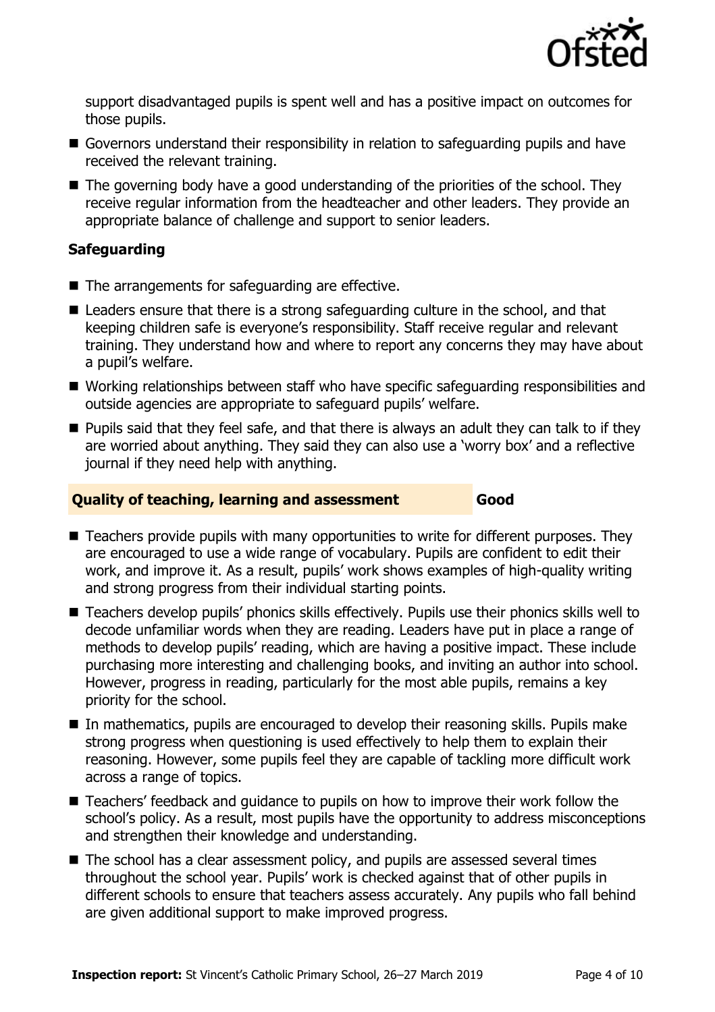

support disadvantaged pupils is spent well and has a positive impact on outcomes for those pupils.

- Governors understand their responsibility in relation to safeguarding pupils and have received the relevant training.
- The governing body have a good understanding of the priorities of the school. They receive regular information from the headteacher and other leaders. They provide an appropriate balance of challenge and support to senior leaders.

### **Safeguarding**

- $\blacksquare$  The arrangements for safeguarding are effective.
- Leaders ensure that there is a strong safeguarding culture in the school, and that keeping children safe is everyone's responsibility. Staff receive regular and relevant training. They understand how and where to report any concerns they may have about a pupil's welfare.
- Working relationships between staff who have specific safeguarding responsibilities and outside agencies are appropriate to safeguard pupils' welfare.
- **Pupils said that they feel safe, and that there is always an adult they can talk to if they** are worried about anything. They said they can also use a 'worry box' and a reflective journal if they need help with anything.

#### **Quality of teaching, learning and assessment Good**

■ Teachers provide pupils with many opportunities to write for different purposes. They are encouraged to use a wide range of vocabulary. Pupils are confident to edit their work, and improve it. As a result, pupils' work shows examples of high-quality writing and strong progress from their individual starting points.

- Teachers develop pupils' phonics skills effectively. Pupils use their phonics skills well to decode unfamiliar words when they are reading. Leaders have put in place a range of methods to develop pupils' reading, which are having a positive impact. These include purchasing more interesting and challenging books, and inviting an author into school. However, progress in reading, particularly for the most able pupils, remains a key priority for the school.
- In mathematics, pupils are encouraged to develop their reasoning skills. Pupils make strong progress when questioning is used effectively to help them to explain their reasoning. However, some pupils feel they are capable of tackling more difficult work across a range of topics.
- Teachers' feedback and quidance to pupils on how to improve their work follow the school's policy. As a result, most pupils have the opportunity to address misconceptions and strengthen their knowledge and understanding.
- The school has a clear assessment policy, and pupils are assessed several times throughout the school year. Pupils' work is checked against that of other pupils in different schools to ensure that teachers assess accurately. Any pupils who fall behind are given additional support to make improved progress.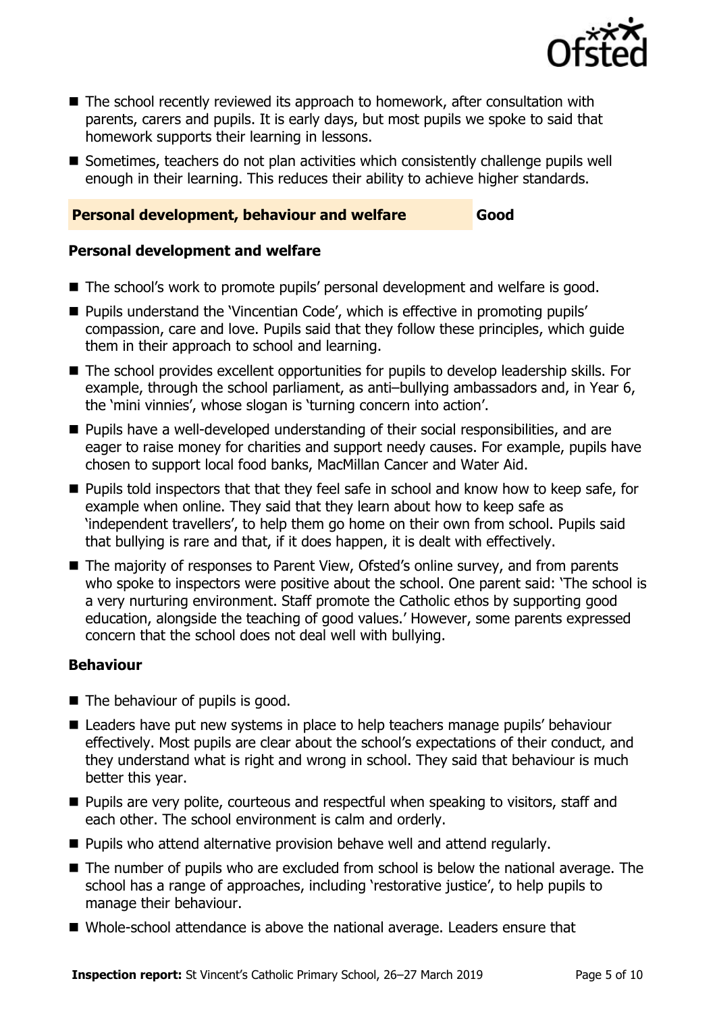

- The school recently reviewed its approach to homework, after consultation with parents, carers and pupils. It is early days, but most pupils we spoke to said that homework supports their learning in lessons.
- Sometimes, teachers do not plan activities which consistently challenge pupils well enough in their learning. This reduces their ability to achieve higher standards.

#### **Personal development, behaviour and welfare Good**

#### **Personal development and welfare**

- The school's work to promote pupils' personal development and welfare is good.
- **Pupils understand the 'Vincentian Code', which is effective in promoting pupils'** compassion, care and love. Pupils said that they follow these principles, which guide them in their approach to school and learning.
- The school provides excellent opportunities for pupils to develop leadership skills. For example, through the school parliament, as anti–bullying ambassadors and, in Year 6, the 'mini vinnies', whose slogan is 'turning concern into action'.
- **Pupils have a well-developed understanding of their social responsibilities, and are** eager to raise money for charities and support needy causes. For example, pupils have chosen to support local food banks, MacMillan Cancer and Water Aid.
- **Pupils told inspectors that that they feel safe in school and know how to keep safe, for** example when online. They said that they learn about how to keep safe as 'independent travellers', to help them go home on their own from school. Pupils said that bullying is rare and that, if it does happen, it is dealt with effectively.
- The majority of responses to Parent View, Ofsted's online survey, and from parents who spoke to inspectors were positive about the school. One parent said: 'The school is a very nurturing environment. Staff promote the Catholic ethos by supporting good education, alongside the teaching of good values.' However, some parents expressed concern that the school does not deal well with bullying.

#### **Behaviour**

- The behaviour of pupils is good.
- Leaders have put new systems in place to help teachers manage pupils' behaviour effectively. Most pupils are clear about the school's expectations of their conduct, and they understand what is right and wrong in school. They said that behaviour is much better this year.
- **Pupils are very polite, courteous and respectful when speaking to visitors, staff and** each other. The school environment is calm and orderly.
- **Pupils who attend alternative provision behave well and attend regularly.**
- The number of pupils who are excluded from school is below the national average. The school has a range of approaches, including 'restorative justice', to help pupils to manage their behaviour.
- Whole-school attendance is above the national average. Leaders ensure that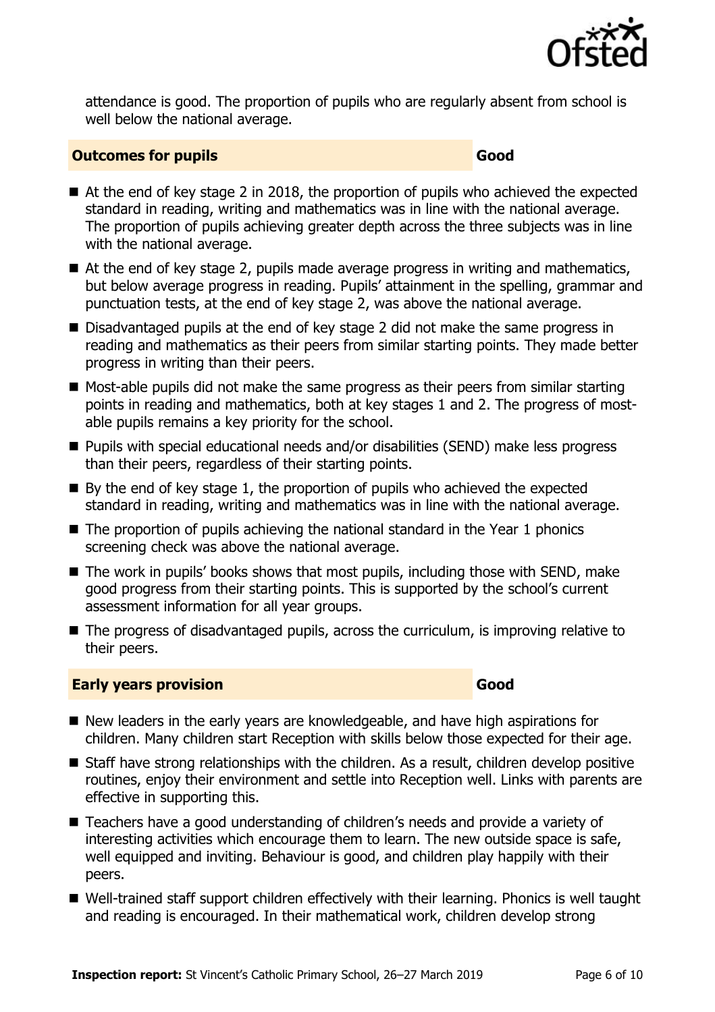

attendance is good. The proportion of pupils who are regularly absent from school is well below the national average.

#### **Outcomes for pupils Good**

- At the end of key stage 2 in 2018, the proportion of pupils who achieved the expected standard in reading, writing and mathematics was in line with the national average. The proportion of pupils achieving greater depth across the three subjects was in line with the national average.
- At the end of key stage 2, pupils made average progress in writing and mathematics, but below average progress in reading. Pupils' attainment in the spelling, grammar and punctuation tests, at the end of key stage 2, was above the national average.
- Disadvantaged pupils at the end of key stage 2 did not make the same progress in reading and mathematics as their peers from similar starting points. They made better progress in writing than their peers.
- $\blacksquare$  Most-able pupils did not make the same progress as their peers from similar starting points in reading and mathematics, both at key stages 1 and 2. The progress of mostable pupils remains a key priority for the school.
- Pupils with special educational needs and/or disabilities (SEND) make less progress than their peers, regardless of their starting points.
- $\blacksquare$  By the end of key stage 1, the proportion of pupils who achieved the expected standard in reading, writing and mathematics was in line with the national average.
- $\blacksquare$  The proportion of pupils achieving the national standard in the Year 1 phonics screening check was above the national average.
- The work in pupils' books shows that most pupils, including those with SEND, make good progress from their starting points. This is supported by the school's current assessment information for all year groups.
- The progress of disadvantaged pupils, across the curriculum, is improving relative to their peers.

#### **Early years provision Good Good**

- New leaders in the early years are knowledgeable, and have high aspirations for children. Many children start Reception with skills below those expected for their age.
- Staff have strong relationships with the children. As a result, children develop positive routines, enjoy their environment and settle into Reception well. Links with parents are effective in supporting this.
- Teachers have a good understanding of children's needs and provide a variety of interesting activities which encourage them to learn. The new outside space is safe, well equipped and inviting. Behaviour is good, and children play happily with their peers.
- Well-trained staff support children effectively with their learning. Phonics is well taught and reading is encouraged. In their mathematical work, children develop strong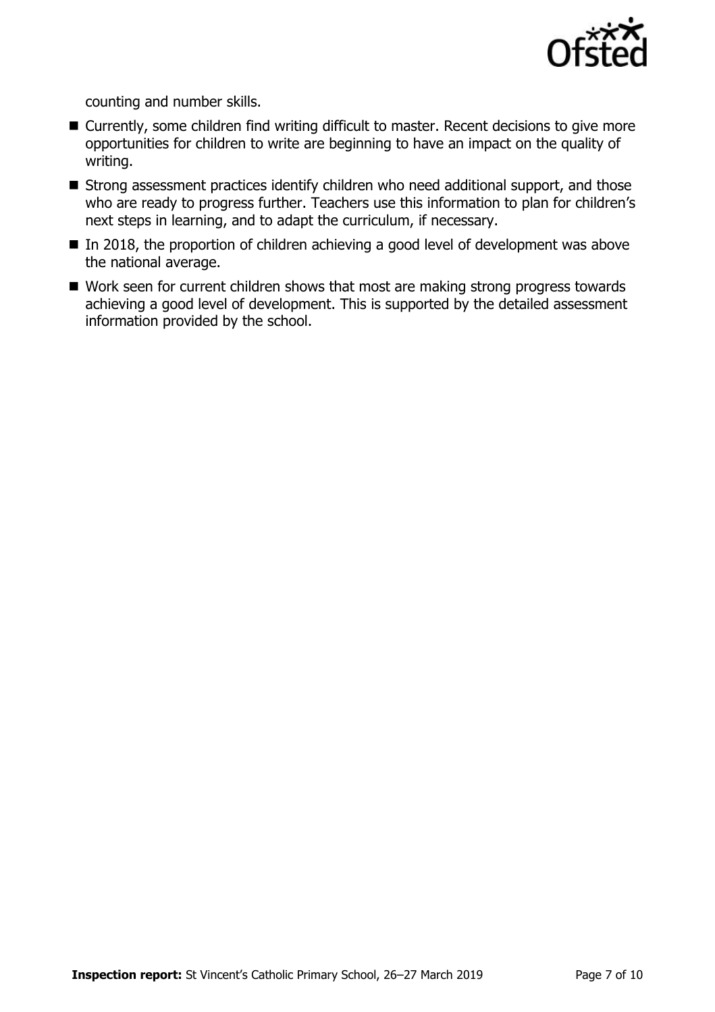

counting and number skills.

- Currently, some children find writing difficult to master. Recent decisions to give more opportunities for children to write are beginning to have an impact on the quality of writing.
- Strong assessment practices identify children who need additional support, and those who are ready to progress further. Teachers use this information to plan for children's next steps in learning, and to adapt the curriculum, if necessary.
- In 2018, the proportion of children achieving a good level of development was above the national average.
- Work seen for current children shows that most are making strong progress towards achieving a good level of development. This is supported by the detailed assessment information provided by the school.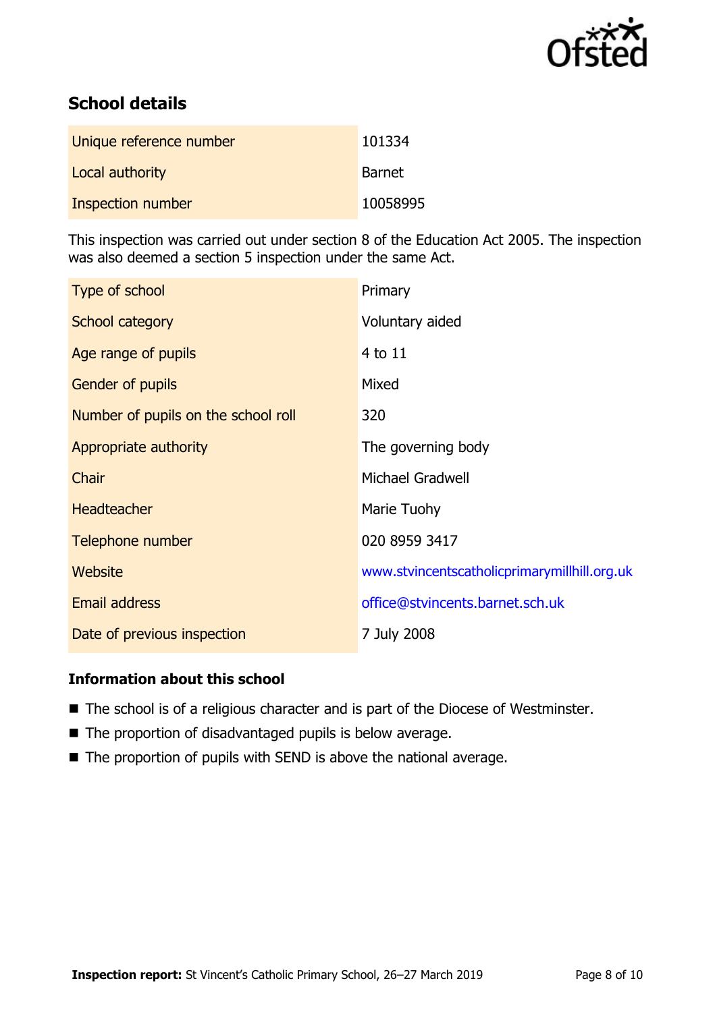

# **School details**

| Unique reference number | 101334        |
|-------------------------|---------------|
| Local authority         | <b>Barnet</b> |
| Inspection number       | 10058995      |

This inspection was carried out under section 8 of the Education Act 2005. The inspection was also deemed a section 5 inspection under the same Act.

| Type of school                      | Primary                                      |
|-------------------------------------|----------------------------------------------|
| School category                     | Voluntary aided                              |
| Age range of pupils                 | 4 to 11                                      |
| <b>Gender of pupils</b>             | Mixed                                        |
| Number of pupils on the school roll | 320                                          |
| Appropriate authority               | The governing body                           |
| Chair                               | <b>Michael Gradwell</b>                      |
| <b>Headteacher</b>                  | Marie Tuohy                                  |
| Telephone number                    | 020 8959 3417                                |
| <b>Website</b>                      | www.stvincentscatholicprimarymillhill.org.uk |
| <b>Email address</b>                | office@stvincents.barnet.sch.uk              |
| Date of previous inspection         | 7 July 2008                                  |

### **Information about this school**

- The school is of a religious character and is part of the Diocese of Westminster.
- The proportion of disadvantaged pupils is below average.
- The proportion of pupils with SEND is above the national average.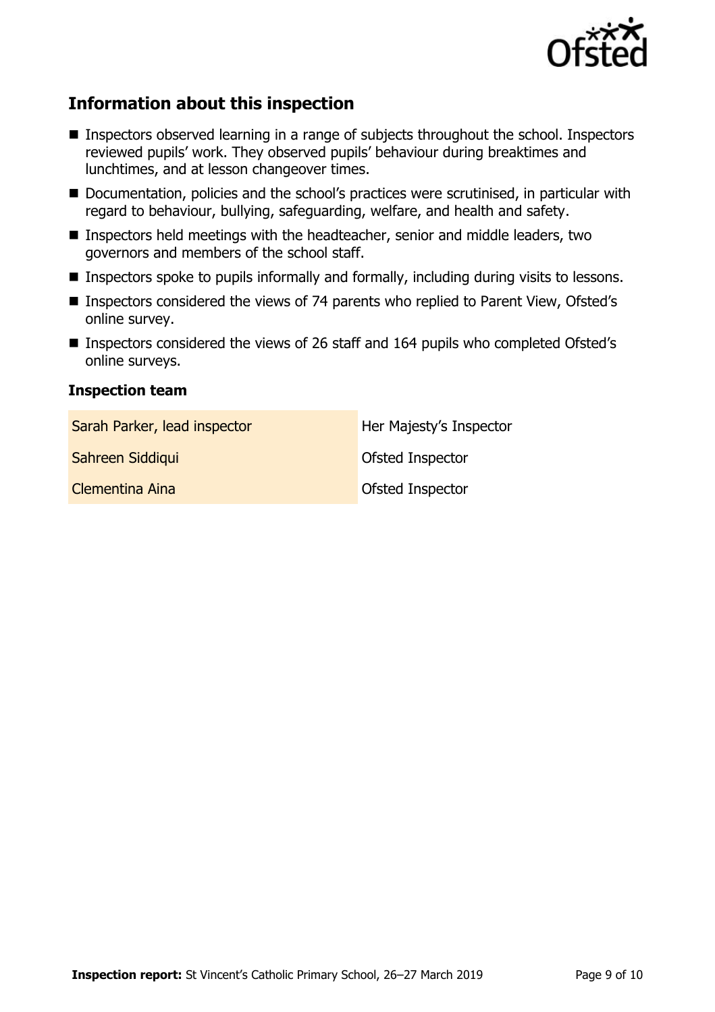

# **Information about this inspection**

- Inspectors observed learning in a range of subjects throughout the school. Inspectors reviewed pupils' work. They observed pupils' behaviour during breaktimes and lunchtimes, and at lesson changeover times.
- Documentation, policies and the school's practices were scrutinised, in particular with regard to behaviour, bullying, safeguarding, welfare, and health and safety.
- Inspectors held meetings with the headteacher, senior and middle leaders, two governors and members of the school staff.
- Inspectors spoke to pupils informally and formally, including during visits to lessons.
- Inspectors considered the views of 74 parents who replied to Parent View, Ofsted's online survey.
- Inspectors considered the views of 26 staff and 164 pupils who completed Ofsted's online surveys.

#### **Inspection team**

| Sarah Parker, lead inspector | Her Majesty's Inspector |
|------------------------------|-------------------------|
| Sahreen Siddiqui             | Ofsted Inspector        |
| Clementina Aina              | <b>Ofsted Inspector</b> |